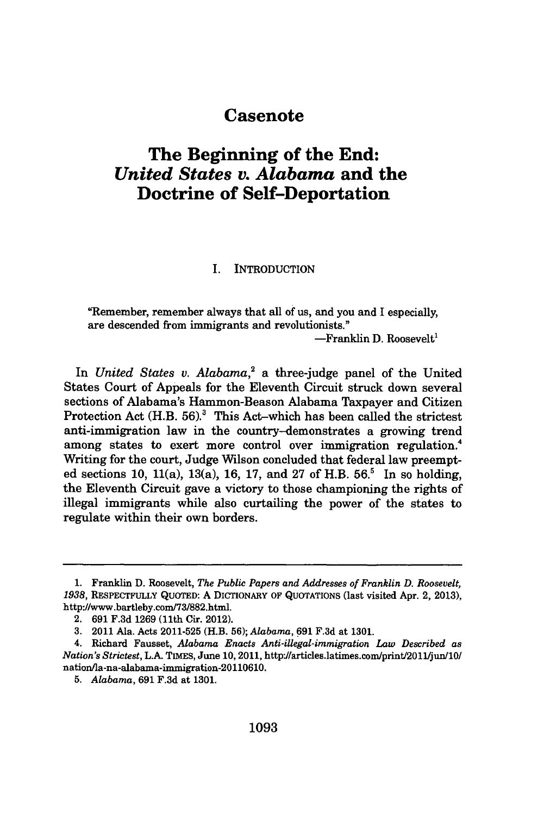## **Casenote**

# **The Beginning of the End:** *United States v. Alabama* **and the Doctrine of Self-Deportation**

I. INTRODUCTION

"Remember, remember always that all of us, and you and I especially, are descended from immigrants and revolutionists."

 $-$ Franklin D. Roosevelt<sup>1</sup>

In *United States v. Alabama,'* a three-judge panel of the United States Court of Appeals for the Eleventh Circuit struck down several sections of Alabama's Hammon-Beason Alabama Taxpayer and Citizen Protection Act (H.B. 56).<sup>3</sup> This Act-which has been called the strictest anti-immigration law in the country-demonstrates a growing trend among states to exert more control over immigration regulation.<sup>4</sup> Writing for the court, Judge Wilson concluded that federal law preempted sections 10, 11(a), 13(a), 16, 17, and 27 of H.B.  $56<sup>5</sup>$  In so holding, the Eleventh Circuit gave a victory to those championing the rights of illegal immigrants while also curtailing the power of the states to regulate within their own borders.

<sup>1.</sup> Franklin D. Roosevelt, *The Public Papers and Addresses of Franklin D. Roosevelt, 1938,* RESPECTFULLY QUOTED: A DICTIONARY OF QUOTATIONS (last visited Apr. 2, 2013), http://www.bartleby.com/73/882.html.

<sup>2. 691</sup> F.3d 1269 (11th Cir. 2012).

<sup>3. 2011</sup> Ala. Acts 2011-525 (H.B. 56); *Alabama,* 691 F.3d at 1301.

<sup>4.</sup> Richard Fausset, *Alabama Enacts Anti-illegal-immigration Law Described as Nation's Strictest,* L.A. TImEs, June 10, 2011, http'//articles.latimes.com/printl2OljunlO/ nation/la-na-alabama-immigration-20110610.

<sup>5.</sup> *Alabama,* 691 F.3d at 1301.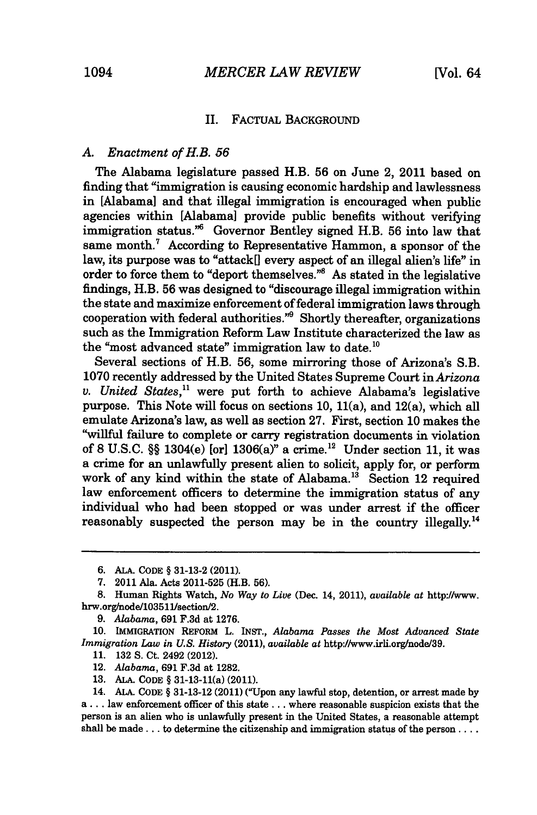## II. FACTUAL BACKGROUND

#### *A. Enactment of H.B. 56*

The Alabama legislature passed H.B. 56 on June 2, 2011 based on finding that "immigration is causing economic hardship and lawlessness in [Alabama] and that illegal immigration is encouraged when public agencies within [Alabama] provide public benefits without verifying immigration status.<sup>"6</sup> Governor Bentley signed H.B. 56 into law that same month.' According to Representative Hammon, a sponsor of the law, its purpose was to "attack[] every aspect of an illegal alien's life" in order to force them to "deport themselves."<sup>8</sup> As stated in the legislative findings, H.B. 56 was designed to "discourage illegal immigration within the state and maximize enforcement of federal immigration laws through cooperation with federal authorities."<sup>9</sup> Shortly thereafter, organizations such as the Immigration Reform Law Institute characterized the law as the "most advanced state" immigration law to date.<sup>10</sup>

Several sections of H.B. 56, some mirroring those of Arizona's S.B. 1070 recently addressed by the United States Supreme Court in *Arizona v. United States,"* were put forth to achieve Alabama's legislative purpose. This Note will focus on sections 10, 11(a), and 12(a), which all emulate Arizona's law, as well as section 27. First, section 10 makes the "willful failure to complete or carry registration documents in violation of 8 U.S.C. §§ 1304(e) [or] 1306(a)" a crime. 12 Under section 11, it was a crime for an unlawfully present alien to solicit, apply for, or perform work of any kind within the state of Alabama.<sup>13</sup> Section 12 required law enforcement officers to determine the immigration status of any individual who had been stopped or was under arrest if the officer reasonably suspected the person may be in the country illegally.<sup>14</sup>

**11.** 132 **S.** Ct. 2492 (2012).

13. **ALA.** CODE § 31-13-11(a) (2011).

<sup>6.</sup> ALA. **CODE** § 31-13-2 (2011).

<sup>7. 2011</sup> Ala. Acts 2011-525 (H.B. 56).

<sup>8.</sup> Human Rights Watch, *No Way to Live* (Dec. 14, 2011), *available at* http://www. hrw.org/node/103511/section/2.

<sup>9.</sup> *Alabama,* 691 F.3d at 1276.

<sup>10.</sup> IMMIGRATION REFORM L. INST., *Alabama Passes the Most Advanced State Immigration Law in U.S. History* (2011), *available at* http://www.irli.org/node/39.

<sup>12.</sup> *Alabama,* 691 F.3d at 1282.

<sup>14.</sup> AiA. CODE § 31-13-12 (2011) ("Upon any lawful stop, detention, or arrest made by a... law enforcement officer of this state... where reasonable suspicion exists that the person is an alien who is unlawfully present in the United States, a reasonable attempt shall be **made...** to determine the citizenship and immigration status of the person ....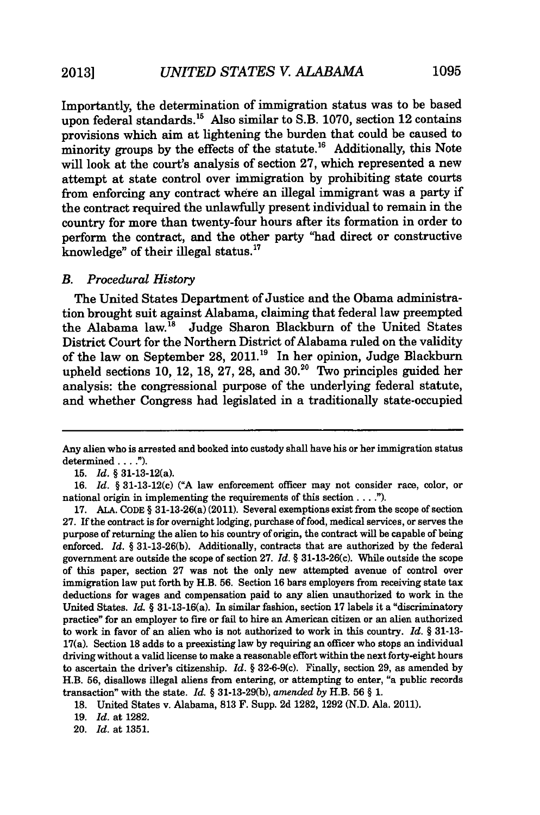Importantly, the determination of immigration status was to be based upon federal standards.<sup>15</sup> Also similar to S.B. 1070, section 12 contains provisions which aim at lightening the burden that could be caused to minority groups by the effects of the statute.<sup>16</sup> Additionally, this Note will look at the court's analysis of section 27, which represented a new attempt at state control over immigration by prohibiting state courts from enforcing any contract where an illegal immigrant was a party if the contract required the unlawfully present individual to remain in the country for more than twenty-four hours after its formation in order to perform the contract, and the other party "had direct or constructive knowledge" of their illegal status. $17$ 

#### *B. Procedural History*

The United States Department of Justice and the Obama administration brought suit against Alabama, claiming that federal law preempted the Alabama law.<sup>18</sup> Judge Sharon Blackburn of the United States District Court for the Northern District of Alabama ruled on the validity of the law on September 28, **2011.'9** In her opinion, Judge Blackburn upheld sections 10, 12, 18, 27, 28, and  $30<sup>20</sup>$  Two principles guided her analysis: the congressional purpose of the underlying federal statute, and whether Congress had legislated in a traditionally state-occupied

Any alien who is arrested and booked into custody shall have his or her immigration status determined.. **").**

**<sup>15.</sup>** *Id.* **§** 31-13-12(a).

**<sup>16.</sup>** *Id.* § 31-13-12(c) **("A** law enforcement officer may not consider race, color, or national origin in implementing the requirements of this section  $\dots$ .").

**<sup>17.</sup> ALA.** CODE § 31-13-26(a) (2011). Several exemptions exist from the scope of section **27.** If the contract is for overnight lodging, purchase of food, medical services, or serves the purpose of returning the alien to his country of origin, the contract will be capable of being enforced. *Id.* § **31-13-26(b).** Additionally, contracts that are authorized **by** the federal government are outside the scope of section **27.** *Id.* § 31-13-26(c). While outside the scope of this paper, section **27** was not the only new attempted avenue of control over immigration law put forth **by** H.B. **56.** Section **16** bars employers from receiving state tax deductions for wages and compensation paid to any alien unauthorized to work in the United States. *Id.* § 31-13-16(a). In similar fashion, section **17** labels it a "discriminatory practice" for an employer to fire or fail to hire an American citizen or an alien authorized to work in favor of an alien who is not authorized to work in this country. *Id.* § 31-13- 17(a). Section 18 adds to a preexisting law by requiring an officer who stops an individual driving without a valid license to make a reasonable effort within the next forty-eight hours to ascertain the driver's citizenship. *Id.* § 32-6-9(c). Finally, section 29, as amended by H.B. **56,** disallows illegal aliens from entering, or attempting to enter, "a public records transaction" with the state. *Id.* § 31-13-29(b), *amended by* H.B. 56 § 1.

<sup>18.</sup> United States v. Alabama, **813** F. Supp. 2d 1282, 1292 (N.D. Ala. 2011).

<sup>19.</sup> *Id.* at 1282.

<sup>20.</sup> *Id.* at 1351.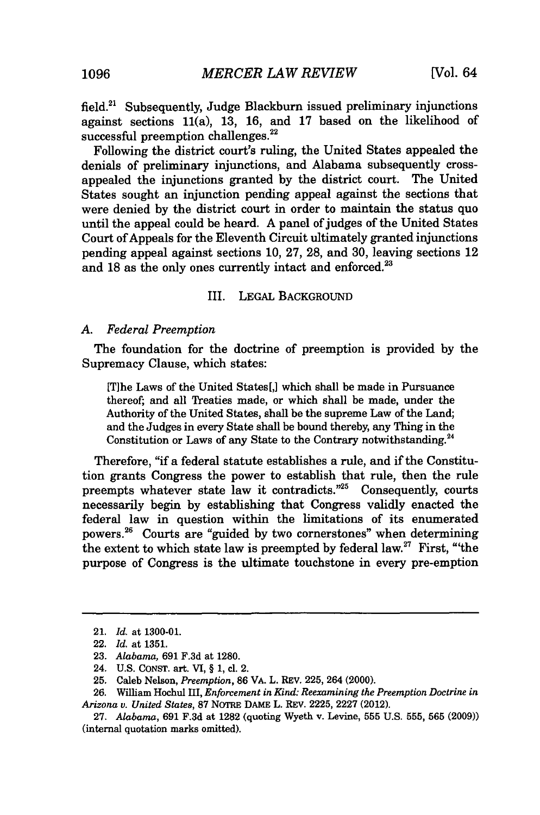field. $21$  Subsequently, Judge Blackburn issued preliminary injunctions against sections 11(a), 13, 16, and 17 based on the likelihood of successful preemption challenges.<sup>22</sup>

Following the district court's ruling, the United States appealed the denials of preliminary injunctions, and Alabama subsequently crossappealed the injunctions granted by the district court. The United States sought an injunction pending appeal against the sections that were denied by the district court in order to maintain the status quo until the appeal could be heard. A panel of judges of the United States Court of Appeals for the Eleventh Circuit ultimately granted injunctions pending appeal against sections 10, 27, 28, and 30, leaving sections 12 and 18 as the only ones currently intact and enforced.<sup>23</sup>

#### III. LEGAL BACKGROUND

#### *A. Federal Preemption*

The foundation for the doctrine of preemption is provided by the Supremacy Clause, which states:

[Tihe Laws of the United States[,] which shall be made in Pursuance thereof; and all Treaties made, or which shall be made, under the Authority of the United States, shall be the supreme Law of the Land; and the Judges in every State shall be bound thereby, any Thing in the Constitution or Laws of any State to the Contrary notwithstanding.<sup>24</sup>

Therefore, **"if** a federal statute establishes a rule, and if the Constitution grants Congress the power to establish that rule, then the rule preempts whatever state law it contradicts."<sup>25</sup> Consequently, courts necessarily begin by establishing that Congress validly enacted the federal law in question within the limitations of its enumerated powers.26 Courts are "guided by two cornerstones" when determining the extent to which state law is preempted by federal law.<sup>27</sup> First, "the purpose of Congress is the ultimate touchstone in every pre-emption

<sup>21.</sup> *Id.* at 1300-01.

<sup>22.</sup> *Id.* at 1351.

<sup>23.</sup> *Alabama,* 691 F.3d at 1280.

<sup>24.</sup> U.S. CONST. art. VI, § 1, cl. 2.

**<sup>25.</sup>** Caleb Nelson, *Preemption,* 86 VA. L. REV. 225, 264 (2000).

<sup>26.</sup> William Hochul III, *Enforcement in Kind: Reexamining the Preemption Doctrine in Arizona v. United States,* 87 NoTRE DAME L. REV. 2225, 2227 (2012).

<sup>27.</sup> *Alabama,* 691 F.3d at 1282 (quoting Wyeth v. Levine, 555 U.S. 555, 565 (2009)) (internal quotation marks omitted).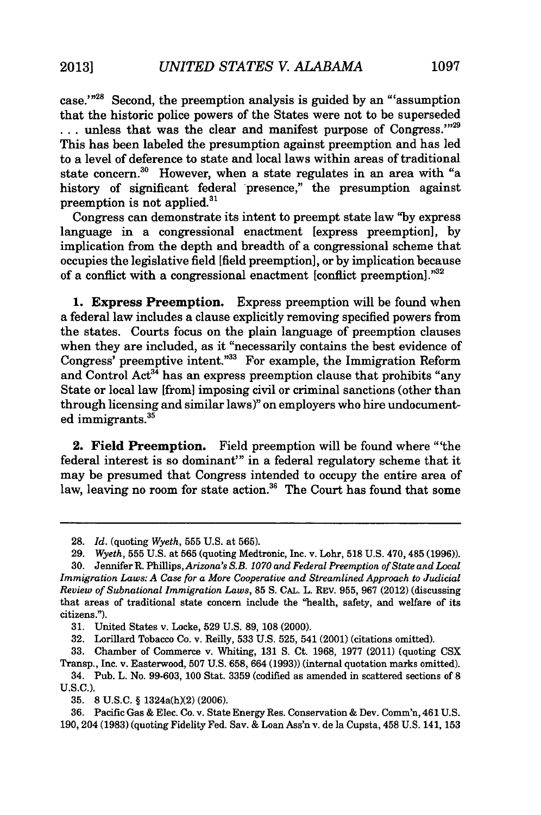case.'"<sup>28</sup> Second, the preemption analysis is guided by an "'assumption that the historic police powers of the States were not to be superseded  $\dots$  unless that was the clear and manifest purpose of Congress.<sup>329</sup> This has been labeled the presumption against preemption and has led to a level of deference to state and local laws within areas of traditional state concern.<sup>30</sup> However, when a state regulates in an area with "a history of significant federal 'presence," the presumption against preemption is not applied.<sup>31</sup>

Congress can demonstrate its intent to preempt state law **"by** express language in a congressional enactment [express preemption], by implication from the depth and breadth of a congressional scheme that occupies the legislative field [field preemption], or by implication because of a conflict with a congressional enactment [conflict preemption].'

1. Express Preemption. Express preemption will be found when a federal law includes a clause explicitly removing specified powers from the states. Courts focus on the plain language of preemption clauses when they are included, as it "necessarily contains the best evidence of Congress' preemptive intent."<sup>33</sup> For example, the Immigration Reform and Control Act<sup>34</sup> has an express preemption clause that prohibits "any State or local law [from] imposing civil or criminal sanctions (other than through licensing and similar laws)" on employers who hire undocumented immigrants.<sup>35</sup>

2. Field Preemption. Field preemption will be found where "'the federal interest is so dominant"' in a federal regulatory scheme that it may be presumed that Congress intended to occupy the entire area of law, leaving no room for state action.<sup>36</sup> The Court has found that some

<sup>28.</sup> *Id.* (quoting *Wyeth,* **555** U.S. at 565).

<sup>29.</sup> *Wyeth,* 555 U.S. at 565 (quoting Medtronic, Inc. v. Lohr, 518 U.S. 470,485 (1996)).

<sup>30.</sup> Jennifer R. Phillips, *Arizona's S.B. 1070 and Federal Preemption of State and Local Immigration Laws: A Case for a More Cooperative and Streamlined Approach to Judicial Review of Subnational Immigration Laws,* 85 **S. CAL.** L. REV. 955, 967 (2012) (discussing that areas of traditional state concern include the "health, safety, and welfare of its citizens.").

<sup>31.</sup> United States v. Locke, 529 U.S. 89, 108 (2000).

<sup>32.</sup> Lorillard Tobacco Co. v. Reilly, 533 U.S. 525, 541 (2001) (citations omitted).

<sup>33.</sup> Chamber of Commerce v. Whiting, 131 S. Ct. 1968, 1977 (2011) (quoting CSX Transp., Inc. v. Easterwood, 507 U.S. 658, 664 (1993)) (internal quotation marks omitted).

<sup>34.</sup> Pub. L. No. 99-603, 100 Stat. 3359 (codified as amended in scattered sections of 8 U.S.C.).

<sup>35. 8</sup> U.S.C. § 1324a(h)(2) (2006).

<sup>36.</sup> Pacific Gas & Elec. Co. v. State Energy Res. Conservation & Dev. Comm'n, 461 U.S. 190, 204 (1983) (quoting Fidelity Fed. Sav. & Loan Ass'n v. de la Cupsta, 458 U.S. 141, 153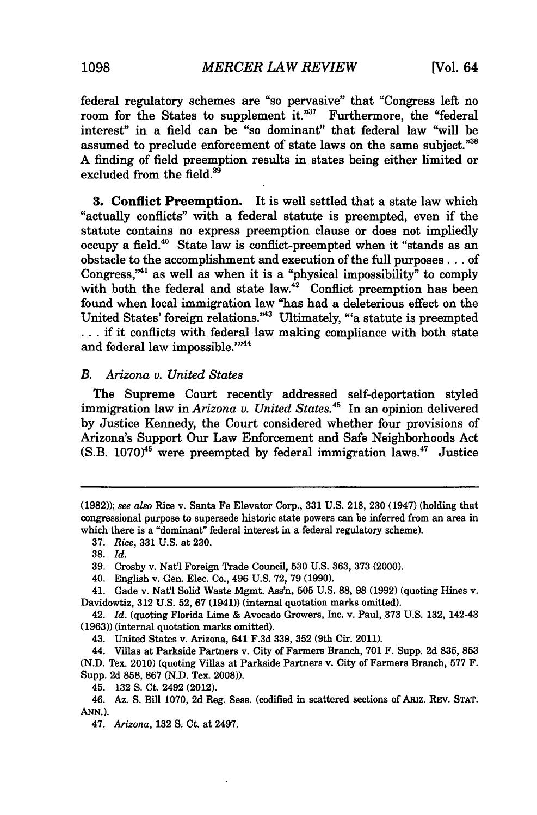federal regulatory schemes are "so pervasive" that "Congress left no room for the States to supplement it."<sup>37</sup> Furthermore, the "federal interest" in a field can be "so dominant" that federal law **"will** be assumed to preclude enforcement of state laws on the same subject."38 A finding of field preemption results in states being either limited or excluded from the field.<sup>39</sup>

**3.** Conflict Preemption. It is well settled that a state law which "actually conflicts" with a federal statute is preempted, even if the statute contains no express preemption clause or does not impliedly occupy a field.<sup>40</sup> State law is conflict-preempted when it "stands as an obstacle to the accomplishment and execution of the full purposes **...** of Congress,<sup> $*1$ </sup> as well as when it is a "physical impossibility" to comply with both the federal and state law. $^{42}$  Conflict preemption has been found when local immigration law "has had a deleterious effect on the United States' foreign relations."43 Ultimately, "'a statute is preempted **...** if it conflicts with federal law making compliance with both state and federal law impossible."<sup>344</sup>

## *B. Arizona v. United States*

The Supreme Court recently addressed self-deportation styled immigration law in *Arizona v. United States.45* In an opinion delivered by Justice Kennedy, the Court considered whether four provisions of Arizona's Support Our Law Enforcement and Safe Neighborhoods Act  $(S.B. 1070)^{46}$  were preempted by federal immigration laws.<sup>47</sup> Justice

<sup>(1982));</sup> see *also* Rice v. Santa Fe Elevator Corp., 331 U.S. 218, 230 (1947) (holding that congressional purpose to supersede historic state powers can be inferred from an area in which there is a "dominant" federal interest in a federal regulatory scheme).

<sup>37.</sup> *Rice,* 331 U.S. at 230.

**<sup>38.</sup>** *Id.*

<sup>39.</sup> Crosby v. Nat'l Foreign Trade Council, 530 U.S. 363, 373 (2000).

<sup>40.</sup> English v. Gen. Elec. Co., 496 U.S. 72, 79 (1990).

<sup>41.</sup> Gade v. Nat'l Solid Waste Mgmt. Ass'n, **505** U.S. 88, 98 (1992) (quoting Hines v. Davidowtiz, 312 U.S. 52, **67** (1941)) (internal quotation marks omitted).

<sup>42.</sup> *Id.* (quoting Florida Lime & Avocado Growers, Inc. v. Paul, 373 U.S. 132, 142-43 (1963)) (internal quotation marks omitted).

<sup>43.</sup> United States v. Arizona, 641 F.3d 339, 352 (9th Cir. 2011).

<sup>44.</sup> Villas at Parkside Partners v. City of Farmers Branch, 701 F. Supp. 2d 835, 853 (N.D. Tex. 2010) (quoting Villas at Parkside Partners v. City of Farmers Branch, 577 F. Supp. 2d 858, 867 (N.D. Tex. 2008)).

<sup>45. 132</sup> **S.** Ct. 2492 (2012).

<sup>46.</sup> Az. S. Bill 1070, 2d Reg. Sess. (codified in scattered sections of ARIZ. REV. **STAT. ANN.).**

<sup>47.</sup> *Arizona,* 132 **S.** Ct. at 2497.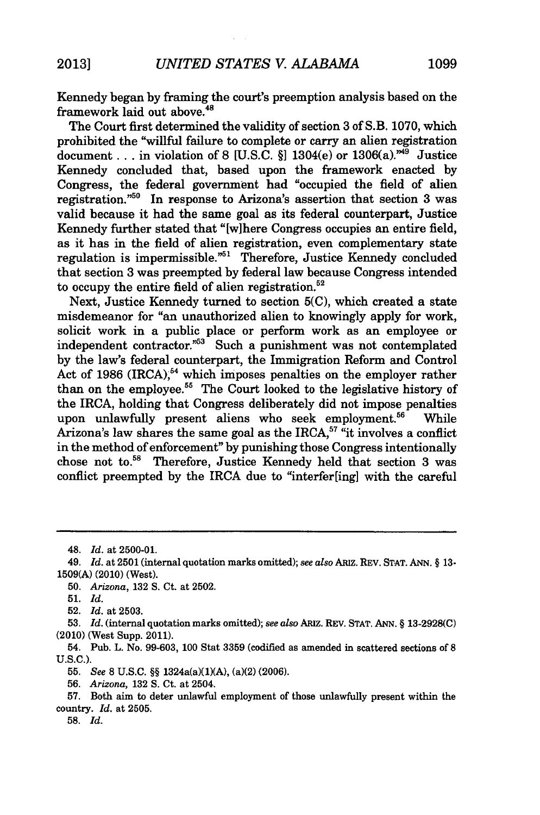Kennedy began by framing the court's preemption analysis based on the framework laid out above.<sup>48</sup>

The Court first determined the validity of section 3 of S.B. 1070, which prohibited the "willful failure to complete or carry an alien registration document... in violation of 8 [U.S.C. §] 1304(e) or 1306(a).<sup>749</sup> Justice Kennedy concluded that, based upon the framework enacted by Congress, the federal government had "occupied the field of alien registration."<sup>50</sup> In response to Arizona's assertion that section 3 was valid because it had the same goal as its federal counterpart, Justice Kennedy further stated that "[W]here Congress occupies an entire field, as it has in the field of alien registration, even complementary state regulation is impermissible."<sup>51</sup> Therefore, Justice Kennedy concluded that section 3 was preempted by federal law because Congress intended to occupy the entire field of alien registration.<sup>52</sup>

Next, Justice Kennedy turned to section 5(C), which created a state misdemeanor for "an unauthorized alien to knowingly apply for work, solicit work in a public place or perform work as an employee or independent contractor."<sup>53</sup> Such a punishment was not contemplated by the law's federal counterpart, the Immigration Reform and Control Act of 1986 (IRCA),<sup>54</sup> which imposes penalties on the employer rather than on the employee. $55$  The Court looked to the legislative history of the IRCA, holding that Congress deliberately did not impose penalties upon unlawfully present aliens who seek employment.<sup>56</sup> While Arizona's law shares the same goal as the IRCA,<sup>57</sup> "it involves a conflict in the method of enforcement" by punishing those Congress intentionally chose not to.<sup>58</sup> Therefore, Justice Kennedy held that section 3 was conflict preempted by the IRCA due to "interfer[ing] with the careful

**50.** *Arizona,* **132 S.** Ct. at **2502.**

55. *See* **8** U.S.C. §§ 1324a(a)(1)(A), (a)(2) (2006).

56. *Arizona,* 132 **S.** Ct. at 2504.

**58.** *Id.*

<sup>48.</sup> *Id.* at 2500-01.

<sup>49.</sup> *Id.* at **2501** (internal quotation marks omitted); *see also ARIz.* REV. **STAT. ANN.** § **13- 1509(A)** (2010) (West).

<sup>51.</sup> *Id.*

**<sup>52.</sup>** *Id.* at 2503.

**<sup>53.</sup>** *Id.* (internal quotation marks omitted); *see also ARIZ.* REV. **STAT.** ANN. § **13-2928(C)** (2010) (West Supp. 2011).

<sup>54.</sup> Pub. L. No. 99-603, 100 Stat 3359 (codified as amended in scattered sections of 8 U.S.C.).

**<sup>57.</sup>** Both aim to deter unlawful employment of those unlawfully present within the country. *Id.* at 2505.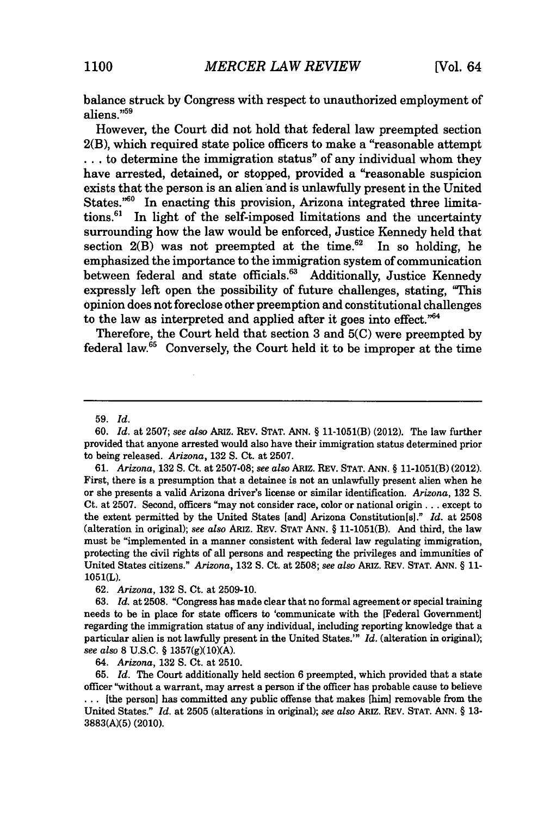balance struck by Congress with respect to unauthorized employment of aliens."59

However, the Court did not hold that federal law preempted section 2(B), which required state police officers to make a "reasonable attempt **...** to determine the immigration status" of any individual whom they have arrested, detained, or stopped, provided a "reasonable suspicion exists that the person is an alien **and** is unlawfully present in the United States."<sup>60</sup> In enacting this provision, Arizona integrated three limitations.61 In light of the self-imposed limitations and the uncertainty surrounding how the law would be enforced, Justice Kennedy held that section  $2(B)$  was not preempted at the time.<sup>62</sup> In so holding, he emphasized the importance to the immigration system of communication between federal and state officials.<sup>63</sup> Additionally, Justice Kennedy expressly left open the possibility of future challenges, stating, "This opinion does not foreclose other preemption and constitutional challenges to the law as interpreted and applied after it goes into effect. $^{64}$ 

Therefore, the Court held that section **3** and **5(C)** were preempted **by** federal law.<sup>65</sup> Conversely, the Court held it to be improper at the time

**60.** *Id.* at **2507;** *see also* **ARiz. REV. STAT. ANN.** § 11-1051(B) (2012). The law further provided that anyone arrested would also have their immigration status determined prior to being released. *Arizona,* 132 S. Ct. at 2507.

61. *Arizona,* 132 **S.** Ct. at 2507-08; *see also* ARIZ. REV. **STAT. ANN.** § 11-1051(B) (2012). First, there is a presumption that a detainee is not an unlawfully present alien when he or she presents a valid Arizona driver's license or similar identification. *Arizona,* 132 **S.** Ct. at 2507. Second, officers "may not consider race, color or national origin... except to the extent permitted by the United States [and] Arizona Constitution[s]." *Id.* at 2508 (alteration in original); *see also* **ARIZ.** REV. **STAT ANN.** § 11-1051(B). And third, the law must be "implemented in a manner consistent with federal law regulating immigration, protecting the civil rights of all persons and respecting the privileges and immunities of United States citizens." *Arizona,* **132 S.** Ct. at 2508; *see also* ARIZ. REV. **STAT. ANN.** § **11-** 1051(L).

**62.** *Arizona,* **132 S.** Ct. at 2509-10.

**63.** *Id.* at 2508. "Congress has made clear that no formal agreement or special training needs to be in place for state officers to 'communicate with the [Federal Government] regarding the immigration status of any individual, including reporting knowledge that a particular alien is not lawfully present in the United States.'" *Id.* (alteration in original); *see also* 8 U.S.C. § 1357(g)(10)(A).

64. *Arizona,* 132 **S.** Ct. at 2510.

65. *Id.* The Court additionally held section 6 preempted, which provided that a state officer "without a warrant, may arrest a person if the officer has probable cause to believe **...** [the person] has committed any public offense that makes [him] removable from the United States." *Id.* at **2505** (alterations in original); *see also* ARIZ. REV. **STAT. ANN.** § **13- 3883(A)(5)** (2010).

**<sup>59.</sup>** *Id.*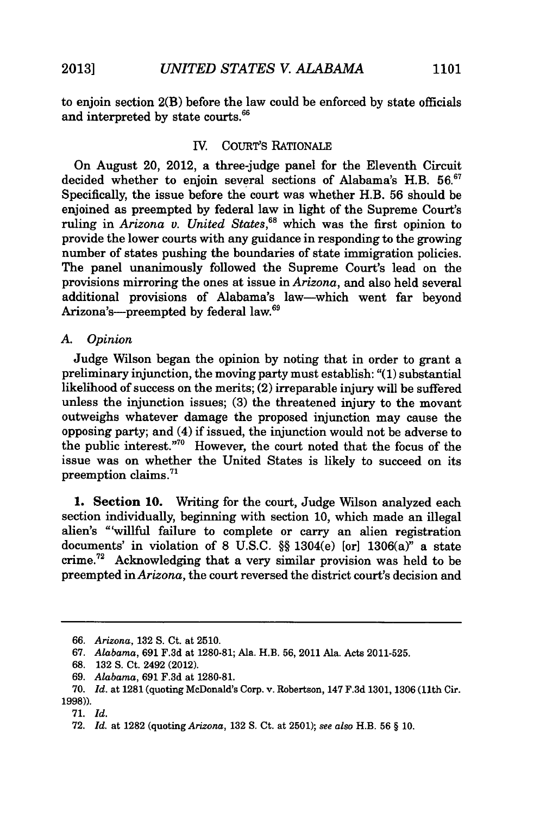to enjoin section 2(B) before the law could be enforced by state officials and interpreted by state courts.<sup>66</sup>

## IV. COURT'S RATIONALE

On August 20, 2012, a three-judge panel for the Eleventh Circuit decided whether to enjoin several sections of Alabama's H.B. 56.<sup>67</sup> Specifically, the issue before the court was whether H.B. 56 should be enjoined as preempted by federal law in light of the Supreme Court's ruling in *Arizona v. United States*,<sup>68</sup> which was the first opinion to provide the lower courts with any guidance in responding to the growing number of states pushing the boundaries of state immigration policies. The panel unanimously followed the Supreme Court's lead on the provisions mirroring the ones at issue in *Arizona,* and also held several additional provisions of Alabama's law-which went far beyond Arizona's---preempted by federal law.<sup>69</sup>

## *A. Opinion*

Judge Wilson began the opinion by noting that in order to grant a preliminary injunction, the moving party must establish: "(1) substantial likelihood of success on the merits; (2) irreparable injury will be suffered unless the injunction issues; (3) the threatened injury to the movant outweighs whatever damage the proposed injunction may cause the opposing party; and (4) if issued, the injunction would not be adverse to the public interest.""0 However, the court noted that the focus of the issue was on whether the United States is likely to succeed on its preemption claims.<sup>71</sup>

1. Section **10.** Writing for the court, Judge Wilson analyzed each section individually, beginning with section 10, which made an illegal alien's "'willful failure to complete or carry an alien registration documents' in violation of 8 U.S.C. *§§* 1304(e) [or] 1306(a)" a state crime.<sup>72</sup> Acknowledging that a very similar provision was held to be preempted in *Arizona,* the court reversed the district court's decision and

<sup>66.</sup> *Arizona,* 132 S. Ct. at 2510.

<sup>67.</sup> *Alabama,* 691 F.3d at 1280-81; Ala. H.B. 56, 2011 Ala. Acts 2011-525.

<sup>68. 132</sup> S. Ct. 2492 (2012).

<sup>69.</sup> *Alabama,* 691 F.3d at 1280-81.

**<sup>70.</sup>** *Id.* at **1281** (quoting McDonald's Corp. v. Robertson, 147 F.3d **1301, 1306** (11th Cir. 1998)).

<sup>71.</sup> *Id.*

<sup>72.</sup> *Id.* at 1282 (quoting *Arizona,* 132 **S.** Ct. at 2501); *see also* H.B. 56 § 10.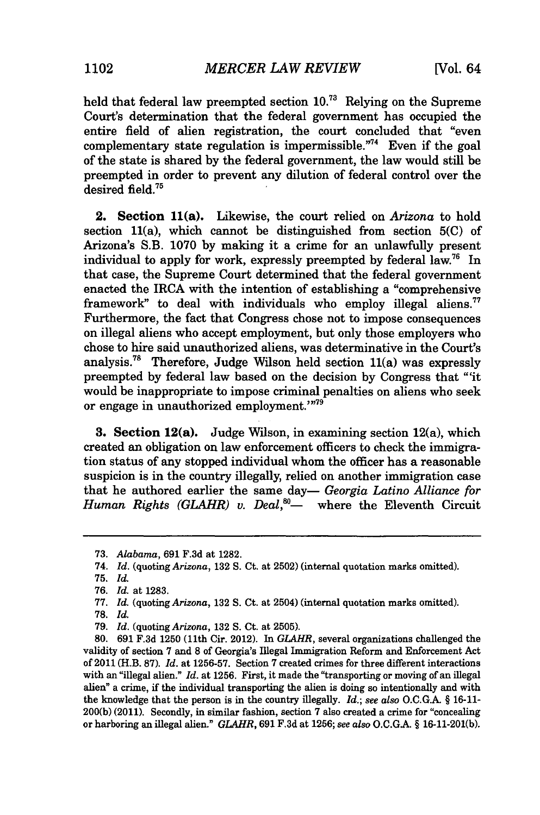held that federal law preempted section **10."** Relying on the Supreme Court's determination that the federal government has occupied the entire field of alien registration, the court concluded that "even complementary state regulation is impermissible. $74$  Even if the goal of the state is shared by the federal government, the law would still be preempted in order to prevent any dilution of federal control over the desired field. $75$ 

2. Section 11(a). Likewise, the court relied on *Arizona* to hold section 11(a), which cannot be distinguished from section **5(C)** of Arizona's S.B. 1070 by making it a crime for an unlawfully present individual to apply for work, expressly preempted by federal law.<sup>76</sup> In that case, the Supreme Court determined that the federal government enacted the IRCA with the intention of establishing a "comprehensive framework" to deal with individuals who employ illegal aliens.<sup>77</sup> Furthermore, the fact that Congress chose not to impose consequences on illegal aliens who accept employment, but only those employers who chose to hire said unauthorized aliens, was determinative in the Court's analysis.<sup>78</sup> Therefore, Judge Wilson held section  $11(a)$  was expressly preempted by federal law based on the decision by Congress that "'it would be inappropriate to impose criminal penalties on aliens who seek or engage in unauthorized employment.'"<sup>79</sup>

**3.** Section 12(a). Judge Wilson, in examining section 12(a), which created an obligation on law enforcement officers to check the immigration status of any stopped individual whom the officer has a reasonable suspicion is in the country illegally, relied on another immigration case that he authored earlier the same day— *Georgia Latino Alliance for Human Rights (GLAHR) v. Deal*,<sup>80</sup>— where the Eleventh Circuit

<sup>73.</sup> *Alabama,* 691 F.3d at 1282.

<sup>74.</sup> *Id.* (quoting *Arizona,* **132 S.** Ct. at **2502)** (internal quotation marks omitted).

<sup>75.</sup> *Id.*

<sup>76.</sup> *Id.* at 1283.

**<sup>77.</sup>** *Id.* (quoting *Arizona,* 132 S. Ct. at 2504) (internal quotation marks omitted).

**<sup>78.</sup>** *Id.*

<sup>79.</sup> *Id.* (quoting *Arizona,* 132 S. Ct. at 2505).

<sup>80. 691</sup> F.3d 1250 (11th Cir. 2012). In *GLAHR,* several organizations challenged the validity of section 7 and 8 of Georgia's Illegal Immigration Reform and Enforcement Act of 2011 (H.B. 87). *Id.* at 1256-57. Section 7 created crimes for three different interactions with an "illegal alien." *Id.* at 1256. First, it made the "transporting or moving of an illegal alien" a crime, if the individual transporting the alien is doing so intentionally and with the knowledge that the person is in the country illegally. *Id.; see also* O.C.G.A. § 16-11- 200(b) (2011). Secondly, in similar fashion, section 7 also created a crime for "concealing or harboring an illegal alien." *GLAHR,* 691 F.3d at 1256; *see also* O.C.GA. § 16-11-201(b).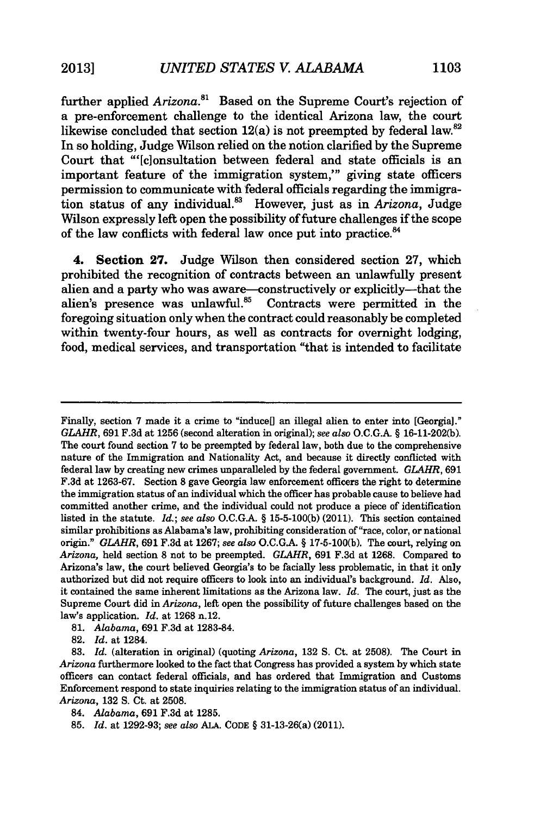further applied *Arizona*.<sup>81</sup> Based on the Supreme Court's rejection of a pre-enforcement challenge to the identical Arizona law, the court likewise concluded that section  $12(a)$  is not preempted by federal law.<sup>82</sup> In so holding, Judge Wilson relied on the notion clarified by the Supreme Court that "'[c]onsultation between federal and state officials is an important feature of the immigration system,"' giving state officers permission to communicate with federal officials regarding the immigration status of any individual.' However, just as in *Arizona,* Judge Wilson expressly left open the possibility of future challenges if the scope of the law conflicts with federal law once put into practice.<sup>84</sup>

4. Section **27.** Judge Wilson then considered section 27, which prohibited the recognition of contracts between an unlawfully present alien and a party who was aware—constructively or explicitly—that the alien's presence was unlawful.<sup>85</sup> Contracts were permitted in the alien's presence was unlawful.<sup>85</sup> foregoing situation only when the contract could reasonably be completed within twenty-four hours, as well as contracts for overnight lodging, food, medical services, and transportation "that is intended to facilitate

Finally, section 7 made it a crime to "induce"] an illegal alien to enter into [Georgia]." *GLAHR,* **691 F.3d** at **1256** (second alteration in original); *see also* **O.C.G.A.** § **16-11-202(b).** The court found section **7** to be preempted **by** federal law, both due to the comprehensive nature of the Immigration and Nationality Act, and because it directly conflicted with federal law by creating new crimes unparalleled by the federal government. *GLAHR,* **691** F.3d at 1263-67. Section **8** gave Georgia law enforcement officers the right to determine the immigration status of an individual which the officer has probable cause to believe had committed another crime, and the individual could not produce a piece of identification listed in the statute. *Id.; see also* O.C.G.A. § 15-5-100(b) (2011). This section contained similar prohibitions as Alabama's law, prohibiting consideration of "race, color, or national origin." *GLAHR,* 691 F.3d at 1267; *see also* O.C.G.A. § 17-5-100(b). The court, relying on *Arizona,* held section **8** not to be preempted. *GLAHR,* **691** F.3d at 1268. Compared to Arizona's law, the court believed Georgia's to be facially less problematic, in that it only authorized but did not require officers to look into an individual's background. *Id.* Also, it contained the same inherent limitations as the Arizona law. *Id.* The court, just as the Supreme Court did in *Arizona,* left open the possibility of future challenges based on the law's application. *Id.* at **1268** n.12.

**81.** *Alabama,* **691** F.3d at **1283-84.**

**82.** *Id.* at 1284.

83. *Id.* (alteration in original) (quoting *Arizona,* 132 **S.** Ct. at 2508). The Court in *Arizona* furthermore looked to the fact that Congress has provided a system by which state officers can contact federal officials, and has ordered that Immigration and Customs Enforcement respond to state inquiries relating to the immigration status of an individual. *Arizona,* 132 **S.** Ct. at 2508.

<sup>84.</sup> *Alabama,* 691 F.3d at 1285.

<sup>85.</sup> *Id.* at 1292-93; *see also* ALA. **CODE** § 31-13-26(a) (2011).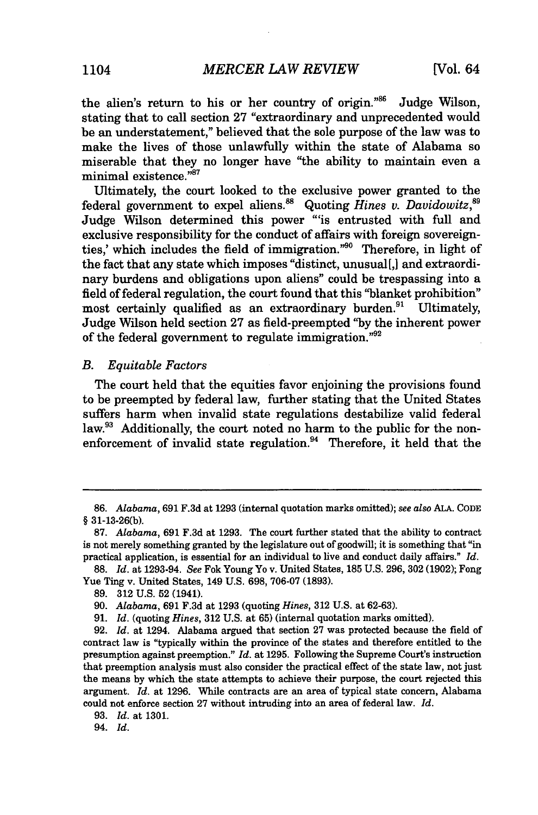the alien's return to his or her country of origin."86 Judge Wilson, stating that to call section 27 "extraordinary and unprecedented would be an understatement," believed that the sole purpose of the law was to make the lives of those unlawfully within the state of Alabama so miserable that they no longer have "the ability to maintain even a minimal existence."<sup>87</sup>

Ultimately, the court looked to the exclusive power granted to the federal government to expel aliens.<sup>88</sup> Quoting *Hines v. Davidowitz*,<sup>89</sup> Judge Wilson determined this power "'is entrusted with full and exclusive responsibility for the conduct of affairs with foreign sovereignties.' which includes the field of immigration."<sup>90</sup> Therefore, in light of the fact that any state which imposes "distinct, unusual[,] and extraordinary burdens and obligations upon aliens" could be trespassing into a field of federal regulation, the court found that this "blanket prohibition" most certainly qualified as an extraordinary burden.<sup>91</sup> Ultimately, Judge Wilson held section 27 as field-preempted "by the inherent power of the federal government to regulate immigration. $^{92}$ 

#### *B. Equitable Factors*

The court held that the equities favor enjoining the provisions found to be preempted by federal law, further stating that the United States suffers harm when invalid state regulations destabilize valid federal law.<sup>93</sup> Additionally, the court noted no harm to the public for the nonenforcement of invalid state regulation.<sup>94</sup> Therefore, it held that the

94. *Id.*

<sup>86.</sup> *Alabama,* 691 F.3d at 1293 (internal quotation marks omitted); *see also* ALA. CODE § **31-13-26(b).**

**<sup>87.</sup>** Alabama, **691 F.3d** at **1293.** The court further stated that the ability to contract is not merely something granted **by** the legislature out of goodwill; it is something that "in practical application, is essential for an individual to live and conduct daily affairs." *Id.*

**<sup>88.</sup>** *Id.* at 1293-94. *See* Fok Young Yo v. United States, 185 U.S. 296, 302 (1902); Fong Yue Ting v. United States, 149 U.S. 698, 706-07 (1893).

<sup>89. 312</sup> U.S. 52 (1941).

<sup>90.</sup> *Alabama,* 691 F.3d at 1293 (quoting *Hines,* 312 U.S. at 62-63).

<sup>91.</sup> *Id.* (quoting *Hines,* 312 U.S. at 65) (internal quotation marks omitted).

<sup>92.</sup> *Id.* at 1294. Alabama argued that section 27 was protected because the field of contract law is "typically within the province of the states and therefore entitled to the presumption against preemption." *Id.* at 1295. Following the Supreme Court's instruction that preemption analysis must also consider the practical effect of the state law, not just the means by which the state attempts to achieve their purpose, the court rejected this argument. *Id.* at 1296. While contracts are an area of typical state concern, Alabama could not enforce section **27** without intruding into an area of federal law. *Id.*

<sup>93.</sup> *Id.* at 1301.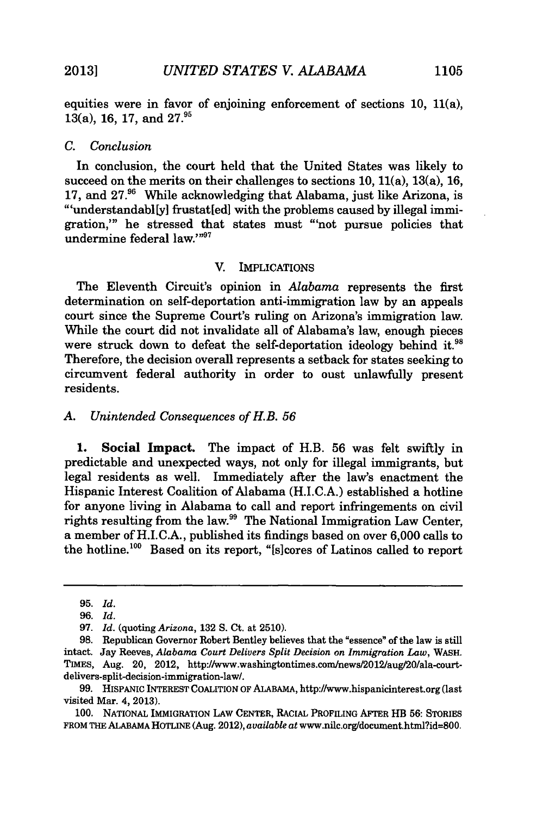equities were in favor of enjoining enforcement of sections 10, 11(a), 13(a), 16, 17, and **27.**

## *C. Conclusion*

In conclusion, the court held that the United States was likely to succeed on the merits on their challenges to sections  $10, 11(a), 13(a), 16$ , 17, and  $27<sup>96</sup>$  While acknowledging that Alabama, just like Arizona, is "'understandabl[y] frustat[ed] with the problems caused by illegal immigration,"' he stressed that states must "'not pursue policies that undermine federal law."<sup>97</sup>

#### V. IMPLICATIONS

The Eleventh Circuit's opinion in *Alabama* represents the first determination on self-deportation anti-immigration law by an appeals court since the Supreme Court's ruling on Arizona's immigration law. While the court did not invalidate all of Alabama's law, enough pieces were struck down to defeat the self-deportation ideology behind it.<sup>94</sup> Therefore, the decision overall represents a setback for states seeking to circumvent federal authority in order to oust unlawfully present residents.

#### *A. Unintended Consequences of H.B. 56*

1. Social Impact. The impact of H.B. 56 was felt swiftly in predictable and unexpected ways, not only for illegal immigrants, but legal residents as well. Immediately after the law's enactment the Hispanic Interest Coalition of Alabama (H.I.C.A.) established a hotline for anyone living in Alabama to call and report infringements on civil rights resulting from the law.99 The National Immigration Law Center, a member of H.I.C.A., published its findings based on over 6,000 calls to the hotline.<sup>100</sup> Based on its report, "[s]cores of Latinos called to report

<sup>95.</sup> *Id.*

<sup>96.</sup> *Id.*

<sup>97.</sup> *Id.* (quoting *Arizona,* 132 S. Ct. at 2510).

**<sup>98.</sup>** Republican Governor Robert Bentley believes that the "essence" of the law is still intact. Jay Reeves, *Alabama Court Delivers Split Decision on Immigration Law,* WASH. TIMES, Aug. 20, 2012, http://www.washingtontimes.com/news/2012/aug/20/ala-courtdelivers-split-decision-immigration-law/.

<sup>99.</sup> HisPANIc INTEREST COALITION OF ALABAMA, http://www.hispanicinterest.org (last visited Mar. 4, 2013).

<sup>100.</sup> NATIONAL IMMIGRATION LAW CENTER, RACIAL PROFILING AFTER HB 56: STORIES FROM THE **ALABAMA** HOTLINE (Aug. 2012), *available at* www.nilc.org/docuraent.html?id=800.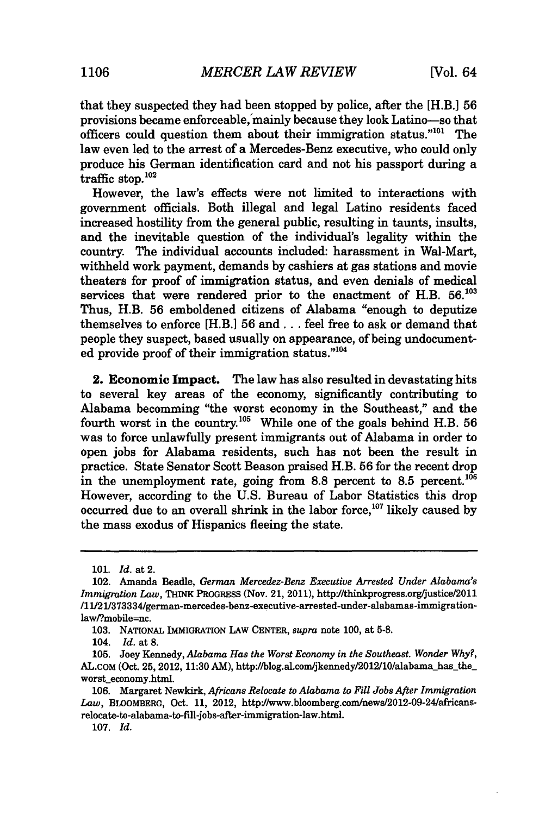that they suspected they had been stopped by police, after the [H.B.] **56** provisions became enforceable,'mainly because they look Latino-so that officers could question them about their immigration status."<sup>101</sup> The law even led to the arrest of a Mercedes-Benz executive, who could only produce his German identification card and not his passport during a traffic stop. $102$ 

However, the law's effects Were not limited to interactions with government officials. Both illegal and legal Latino residents faced increased hostility from the general public, resulting in taunts, insults, and the inevitable question of the individual's legality within the country. The individual accounts included: harassment in Wal-Mart, withheld work payment, demands by cashiers at gas stations and movie theaters for proof of immigration status, and even denials of medical services that were rendered prior to the enactment of H.B.  $56.103$ Thus, H.B. 56 emboldened citizens of Alabama "enough to deputize themselves to enforce [H.B.] 56 and... feel free to ask or demand that people they suspect, based usually on appearance, of being undocumented provide proof of their immigration status."104

2. Economic Impact. The law has also resulted in devastating hits to several key areas of the economy, significantly contributing to Alabama becomming "the worst economy in the Southeast," and the fourth worst in the country.<sup>105</sup> While one of the goals behind H.B. 56 was to force unlawfully present immigrants out of Alabama in order to open jobs for Alabama residents, such has not been the result in practice. State Senator Scott Beason praised H.B. 56 for the recent drop in the unemployment rate, going from 8.8 percent to 8.5 percent.<sup>106</sup> However, according to the U.S. Bureau of Labor Statistics this drop occurred due to an overall shrink in the labor force,  $107$  likely caused by the mass exodus of Hispanics fleeing the state.

<sup>101.</sup> *Id.* at 2.

<sup>102.</sup> Amanda Beadle, *German Mercedez-Benz Executive Arrested Under Alabama's Immigration Law, THINK PROGRESS (Nov. 21, 2011), http://thinkprogress.org/justice/2011* /1112 11373334/german-mercedes-benz-executive-arrested-under-alabamas-immigrationlaw/?mobile=nc.

<sup>103.</sup> NATIONAL IMMIGRATION LAW **CENTER,** *supra* note 100, at 5-8.

<sup>104.</sup> *Id.* at 8.

<sup>105.</sup> Joey Kennedy, *Alabama Has the Worst Economy in the Southeast. Wonder Why?,* AL.COM (Oct. 25, 2012, 11:30 AM), http://blog.al.com/jkennedy/2012/10/alabama\_has\_the\_ worst economy.html.

<sup>106.</sup> Margaret Newkirk, *Africans Relocate to Alabama to Fill Jobs After Immigration* Law, BLOOMBERG, Oct. 11, 2012, http:'/www.bloomberg.com/news/2012-09-24/africansrelocate-to-alabama-to-fill-jobs-after-immigration-law.html.

<sup>107.</sup> *Id.*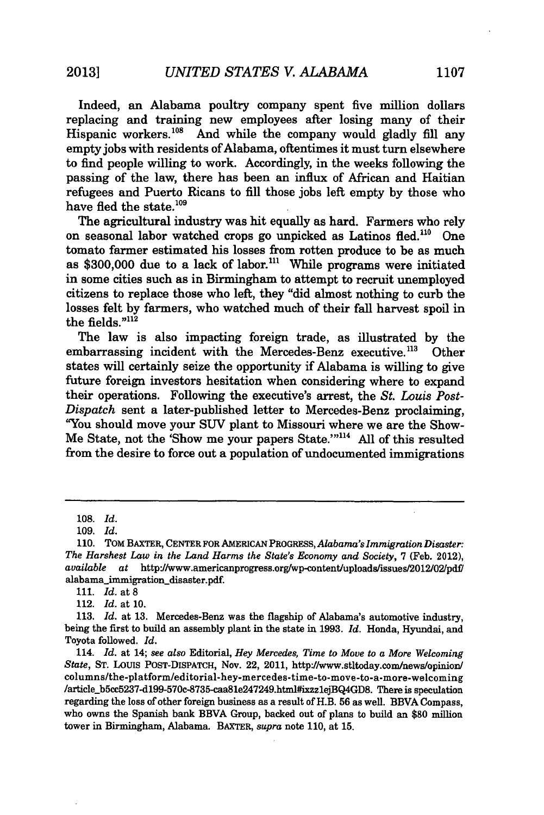Indeed, an Alabama poultry company spent five million dollars replacing and training new employees after losing many of their Hispanic workers.<sup>108</sup> And while the company would gladly fill any empty jobs with residents of Alabama, oftentimes it must turn elsewhere to find people willing to work. Accordingly, in the weeks following the passing of the law, there has been an influx of African and Haitian refugees and Puerto Ricans to fill those jobs left empty by those who have fled the state.<sup>109</sup>

The agricultural industry was hit equally as hard. Farmers who rely on seasonal labor watched crops go unpicked as Latinos fled.<sup>110</sup> One tomato farmer estimated his losses from rotten produce to be as much as  $$300,000$  due to a lack of labor.<sup>111</sup> While programs were initiated in some cities such as in Birmingham to attempt to recruit unemployed citizens to replace those who left, they "did almost nothing to curb the losses felt by farmers, who watched much of their fall harvest spoil in the fields." $112$ 

The law is also impacting foreign trade, as illustrated by the embarrassing incident with the Mercedes-Benz executive.<sup>113</sup> Other states will certainly seize the opportunity if Alabama is willing to give future foreign investors hesitation when considering where to expand their operations. Following the executive's arrest, the *St. Louis Post-Dispatch* sent a later-published letter to Mercedes-Benz proclaiming, "You should move your SUV plant to Missouri where we are the Show-Me State, not the 'Show me your papers State.'"<sup>114</sup> All of this resulted from the desire to force out a population of undocumented immigrations

**<sup>108.</sup>** *Id.*

<sup>109.</sup> *Id.*

**<sup>110.</sup>** TOM BAXTER, **CENTER** FOR AMERICAN *PROGRESS, Alabama's Immigration Disaster: The Harshest Law in the Land Harms the State's Economy and Society,* **7** (Feb. 2012), *available at* httpJ/www.americanprogress.orgwp-content/uploads/issues/2012/02/pdf/ alabama\_immigration\_disaster.pdf.

**<sup>111.</sup>** *Id.* at **8**

<sup>112.</sup> *Id.* at **10.**

**<sup>113.</sup>** *Id.* at **13.** Mercedes-Benz was the flagship of Alabama's automotive industry, being the first to build an assembly plant in the state in **1993.** *Id.* Honda, Hyundai, and Toyota followed. *Id.*

<sup>114.</sup> *Id.* at 14; *see also* Editorial, *Hey Mercedes, Time to Move to a More Welcoming State,* **ST.** LoUIS POST-DISPATCH, Nov. 22, 2011, http'/www.stltoday.connews/opinion/ columns/the-platformleditorial-hey-mercedes-time-to-move-to-a-more-welcoming /article\_b5cc5237-d199-570c-8735-caa81e247249.html#ixzz1ejBQ4GD8. There is speculation regarding the loss of other foreign business as a result of H.B. 56 as well. BBVA Compass, who owns the Spanish bank BBVA Group, backed out of plans to build an \$80 million tower in Birmingham, Alabama. BAXTER, *supra* note 110, at 15.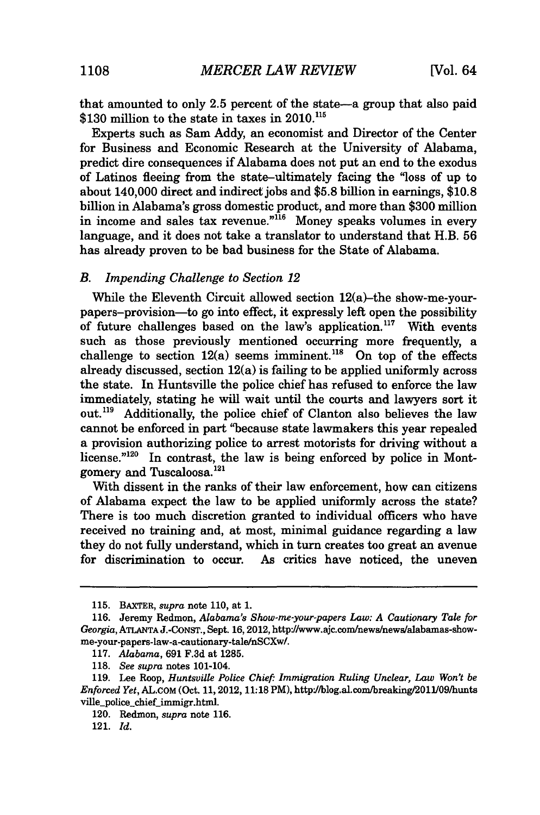that amounted to only **2.5** percent of the state-a group that also paid  $$130$  million to the state in taxes in 2010.<sup>115</sup>

Experts such as Sam Addy, an economist and Director of the Center for Business and Economic Research at the University of Alabama, predict dire consequences if Alabama does not put an end to the exodus of Latinos fleeing from the state-ultimately facing the "loss of up to about 140,000 direct and indirect jobs and \$5.8 billion in earnings, \$10.8 billion in Alabama's gross domestic product, and more than \$300 million in income and sales tax revenue."<sup>16</sup> Money speaks volumes in every language, and it does not take a translator to understand that H.B. 56 has already proven to be bad business for the State of Alabama.

#### *B. Impending Challenge to Section 12*

While the Eleventh Circuit allowed section 12(a)-the show-me-yourpapers-provision-to go into effect, it expressly left open the possibility of future challenges based on the law's application.<sup>117</sup> With events such as those previously mentioned occurring more frequently, a challenge to section  $12(a)$  seems imminent.<sup>118</sup> On top of the effects already discussed, section 12(a) is failing to be applied uniformly across the state. In Huntsville the police chief has refused to enforce the law immediately, stating he will wait until the courts and lawyers sort it out.<sup>119</sup> Additionally, the police chief of Clanton also believes the law cannot be enforced in part "because state lawmakers this year repealed a provision authorizing police to arrest motorists for driving without a license."<sup>120</sup> In contrast, the law is being enforced by police in Montgomery and Tuscaloosa. <sup>121</sup>

With dissent in the ranks of their law enforcement, how can citizens of Alabama expect the law to be applied uniformly across the state? There is too much discretion granted to individual officers who have received no training and, at most, minimal guidance regarding a law they do not fully understand, which in turn creates too great an avenue for discrimination to occur. As critics have noticed, the uneven

<sup>115.</sup> BAXTER, *supra* note 110, at 1.

**<sup>116.</sup>** Jeremy Redmon, *Alabama's Show-me-your-papers Law: A Cautionary Tale for Georgia,* **ATLANTA J.-CONST.,** Sept. **16,2012,** http://www.ajc.com/news/news/alabamas-showme-your-papers-law-a-cautionary-tale/nSCXw/.

**<sup>117.</sup>** *Alabama,* **691 F.3d** at **1285.**

**<sup>118.</sup>** *See supra* notes 101-104.

**<sup>119.</sup>** Lee Roop, *Huntsville Police Chief" Immigration Ruling Unclear, Law Won't be Enforced Yet,* AL.COM (Oct. 11, 2012, 11:18 PM), http//blog.al.com/breaking/2011/09/hunts ville\_police\_chief\_immigr.html.

<sup>120.</sup> Redmon, *supra* note 116.

<sup>121.</sup> *Id.*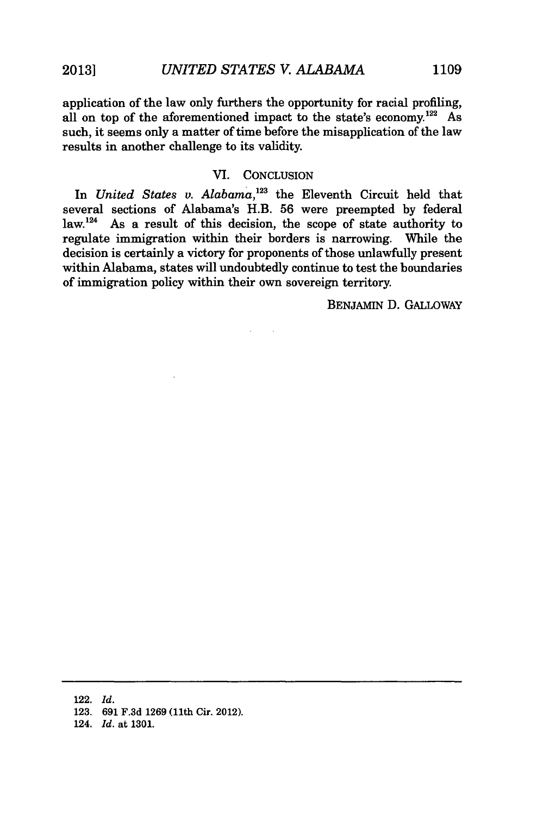application of the law only furthers the opportunity for racial profiling, all on top of the aforementioned impact to the state's economy.<sup>122</sup> As such, it seems only a matter of time before the misapplication of the law results in another challenge to its validity.

### VI. CONCLUSION

In *United States v. Alabama,'2'* the Eleventh Circuit held that several sections of Alabama's H.B. 56 were preempted by federal law.<sup>124</sup> As a result of this decision, the scope of state authority to regulate immigration within their borders is narrowing. While the decision is certainly a victory for proponents of those unlawfully present within Alabama, states will undoubtedly continue to test the boundaries of immigration policy within their own sovereign territory.

BENJAMIN D. GALLOWAY

124. *Id.* at **1301.**

<sup>122.</sup> *Id.*

**<sup>123. 691</sup> F.3d 1269** (11th Cir. 2012).